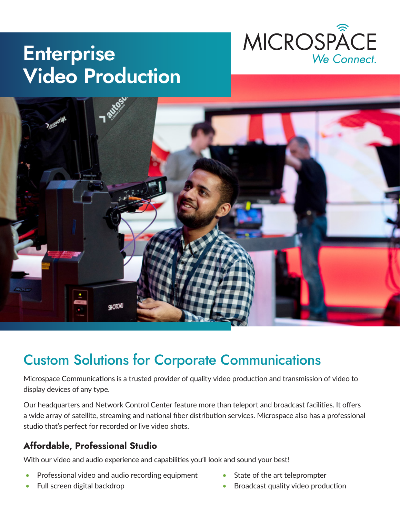

# **Enterprise Video Production**



## Custom Solutions for Corporate Communications

Microspace Communications is a trusted provider of quality video production and transmission of video to display devices of any type.

Our headquarters and Network Control Center feature more than teleport and broadcast facilities. It offers a wide array of satellite, streaming and national fiber distribution services. Microspace also has a professional studio that's perfect for recorded or live video shots.

### **Affordable, Professional Studio**

With our video and audio experience and capabilities you'll look and sound your best!

- Professional video and audio recording equipment
- Full screen digital backdrop
- State of the art teleprompter
- Broadcast quality video production